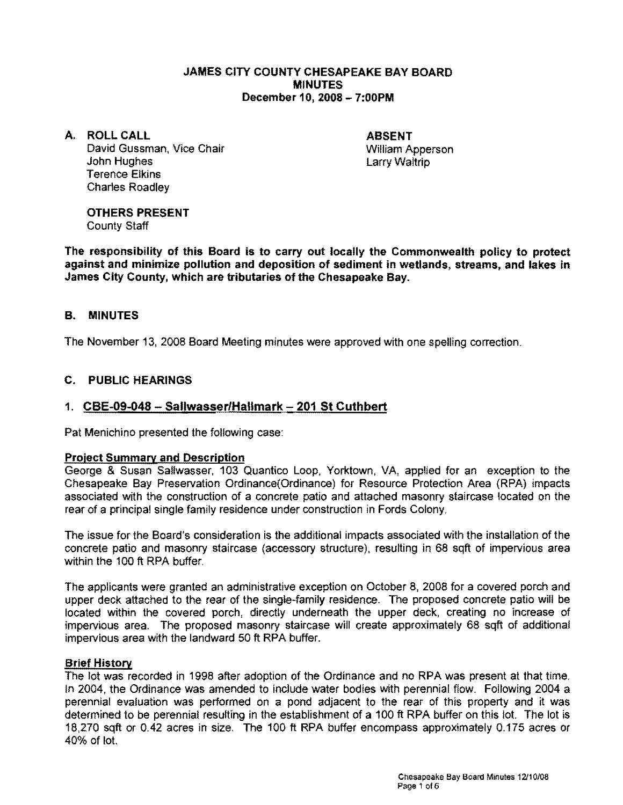### JAMES CITY COUNTY CHESAPEAKE BAY BOARD **MINUTES** December 10,2008 - 7:00PM

A. ROLLCALL David Gussman, Vice Chair John Hughes Terence Elkins

Charles Roadley

ABSENT William Apperson Larry Waltrip

# OTHERS PRESENT

County Staff

The responsibility of this Board is to carry out locally the Commonwealth policy to protect against and minimize pollution and deposition of sediment in wetlands, streams, and lakes in James City County, which are tributaries of the Chesapeake Bay.

# B. MINUTES

The November 13, *2008* Board Meeting minutes were approved with one spelling correction.

# C. PUBLIC HEARINGS

## 1. CBE-09-048 - Sallwasser/Hallmark - 201 St Cuthbert

Pat Menichino presented the following case:

### Project Summary and Description

George & Susan Sallwasser, *103* Quantico Loop, Yorktown, VA, applied for an exception to the Chesapeake Bay Preservation Ordinance(Ordinance) for Resource Protection Area (RPA) impacts associated with the construction of a concrete patio and attached masonry staircase located on the rear of a principal single family residence under construction in Fords Colony.

The issue for the Board's consideration is the additional impacts associated with the installation of the concrete patio and masonry staircase (accessory structure), resulting in 68 sqft of impervious area within the 100 ft RPA buffer.

The applicants were granted an administrative exception on October 8, *2008* for a covered porch and upper deck attached to the rear of the single-family residence. The proposed concrete patio will be located within the covered porch, directly underneath the upper deck, creating no increase of impervious area. The proposed masonry staircase will create approximately 68 sqft of additional impervious area with the landward 50 ft RPA buffer.

### Brief History

The lot was recorded in 1998 after adoption of the Ordinance and no RPA was present at that time. In 2004, the Ordinance was amended to include water bodies with perennial flow. Following 2004 a perennial evaluation was performed on a pond adjacent to the rear of this property and it was determined to be perennial resulting in the establishment of a 100 ft RPA buffer on this lot. The lot is 18,270 sqft or 0.42 acres in size, The 100 ft RPA buffer encompass approximately 0.175 acres or 40% of lot.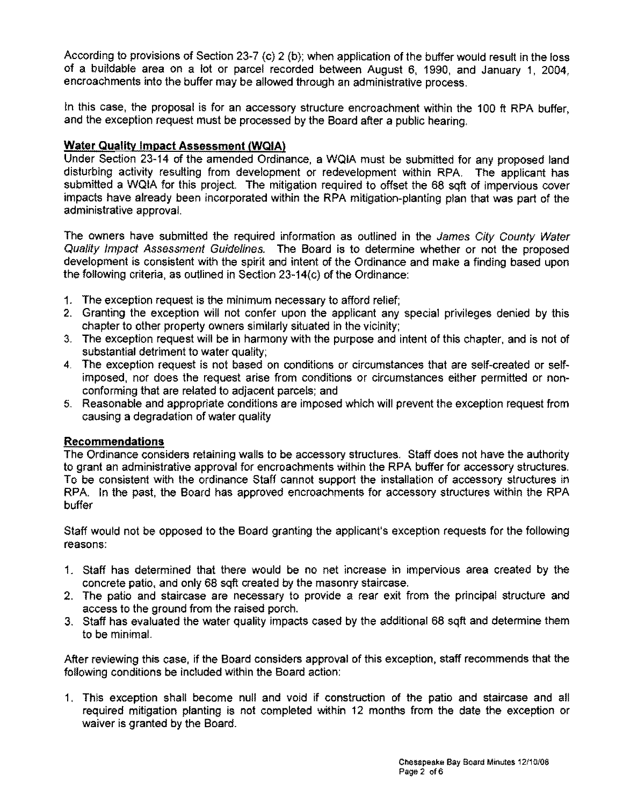According to provisions of Section 23-7 (c) 2 (b); when application of the buffer would result in the loss of a buildable area on a lot or parcel recorded between August 6, 1990, and January 1, 2004, encroachments into the buffer may be allowed through an administrative process.

In this case, the proposal is for an accessory structure encroachment within the 100 ft RPA buffer, and the exception request must be processed by the Board after a public hearing.

## **Water Quality Impact Assessment /WQIA)**

Under Section 23-14 of the amended Ordinance, a WQIA must be submitted for any proposed land disturbing activity resulting from development or redevelopment within RPA. The applicant has submitted a WQIA for this project. The mitigation required to offset the 68 sqft of impervious cover impacts have already been incorporated within the RPA mitigation-planting plan that was part of the administrative approval.

The owners have submitted the required information as outlined in the James City County Water Quality Impact Assessment Guidelines. The Board is to determine whether or not the proposed development is consistent with the spirit and intent of the Ordinance and make a finding based upon the following criteria, as outlined in Section 23-14(c) of the Ordinance:

- 1. The exception request is the minimum necessary to afford relief;
- 2. Granting the exception will not confer upon the applicant any special privileges denied by this chapter to other property owners similarly situated in the vicinity;
- 3. The exception request will be in harmony with the purpose and intent of this chapter, and is not of substantial detriment to water quality;
- 4. The exception request is not based on conditions or circumstances that are self-created or selfimposed, nor does the request arise from conditions or circumstances either permitted or nonconforming that are related to adjacent parcels; and
- 5. Reasonable and appropriate conditions are imposed which will prevent the exception request from causing a degradation of water quality

## **Recommendations**

The Ordinance considers retaining walls to be accessory structures. Staff does not have the authority to grant an administrative approval for encroachments within the RPA buffer for accessory structures. To be consistent with the ordinance Staff cannot support the installation of accessory structures in RPA. In the past, the Board has approved encroachments for accessory structures within the RPA buffer

Staff would not be opposed to the Board granting the applicant's exception requests for the following reasons:

- 1. Staff has determined that there would be no net increase in impervious area created by the concrete patio, and only 68 sqft created by the masonry staircase.
- 2. The patio and staircase are necessary to provide a rear exit from the principal structure and access to the ground from the raised porch.
- 3. Staff has evaluated the water quality impacts cased by the additional 68 sqft and determine them to be minimal.

After reviewing this case, if the Board considers approval of this exception, staff recommends that the following conditions be included within the Board action:

1. This exception shall become null and void if construction of the patio and staircase and all required mitigation planting is not completed within 12 months from the date the exception or waiver is granted by the Board.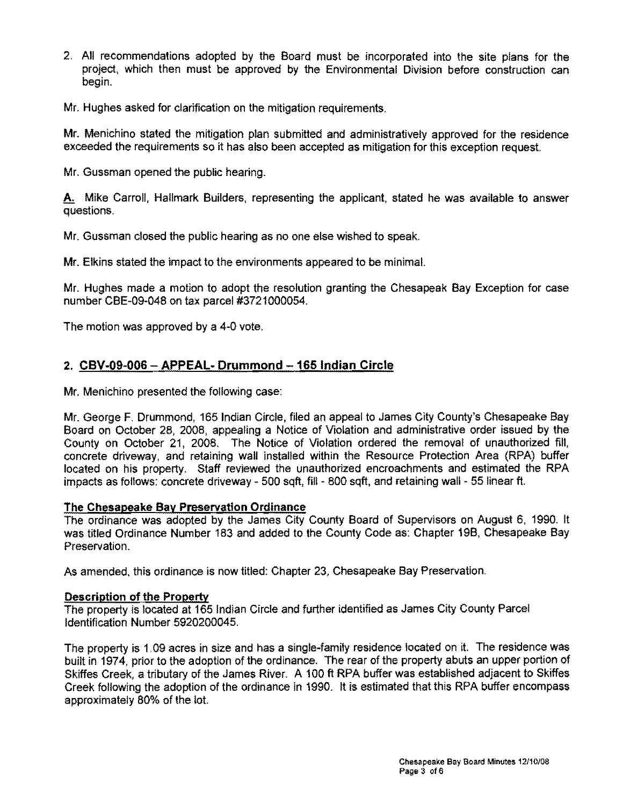2. All recommendations adopted by the Board must be incorporated into the site plans for the project, which then must be approved by the Environmental Division before construction can begin.

Mr. Hughes asked for clarification on the mitigation requirements.

Mr. Menichino stated the mitigation plan submitted and administratively approved for the residence exceeded the requirements so it has also been accepted as mitigation for this exception request.

Mr. Gussman opened the public hearing.

A. Mike Carroll, Hallmark Builders, representing the applicant, stated he was available to answer questions.

Mr. Gussman closed the public hearing as no one else wished to speak.

Mr. Elkins stated the impact to the environments appeared to be minimal.

Mr. Hughes made a motion to adopt the resolution granting the Chesapeak Bay Exception for case number CBE-09-048 on tax parcel #3721000054.

The motion was approved by a 4-0 vote.

# 2. **CBV-09-006 - APPEAL· Drummond -165 Indian Circle**

Mr. Menichino presented the following case:

Mr. George F. Drummond, 165 Indian Circle, filed an appeal to James City County's Chesapeake Bay Board on October 28, 2008, appealing a Notice of Violation and administrative order issued by the County on October 21, 2008. The Notice of Violation ordered the removal of unauthorized fill, concrete driveway, and retaining wall installed within the Resource Protection Area (RPA) buffer located on his property. Staff reviewed the unauthorized encroachments and estimated the RPA impacts as follows: concrete driveway - 500 sqft, fill - 800 sqft, and retaining wall - 55 linear ft.

### **The Chesapeake Bav Preservation Ordinance**

The ordinance was adopted by the James City County Board of Supervisors on August 6, 1990. It was titled Ordinance Number 183 and added to the County Code as: Chapter 19B, Chesapeake Bay Preservation.

As amended, this ordinance is now titled: Chapter 23, Chesapeake Bay Preservation.

### **Description of the Property**

The property is located at 165 Indian Circle and further identified as James City County Parcel Identification Number 5920200045.

The property is 1.09 acres in size and has a single-family residence located on it. The residence was built in 1974, prior to the adoption of the ordinance. The rear of the property abuts an upper portion of Skiffes Creek, a tributary of the James River. A 100 ft RPA buffer was established adjacent to Skiffes Creek following the adoption of the ordinance in 1990. It is estimated that this RPA buffer encompass approximately 80% of the lot.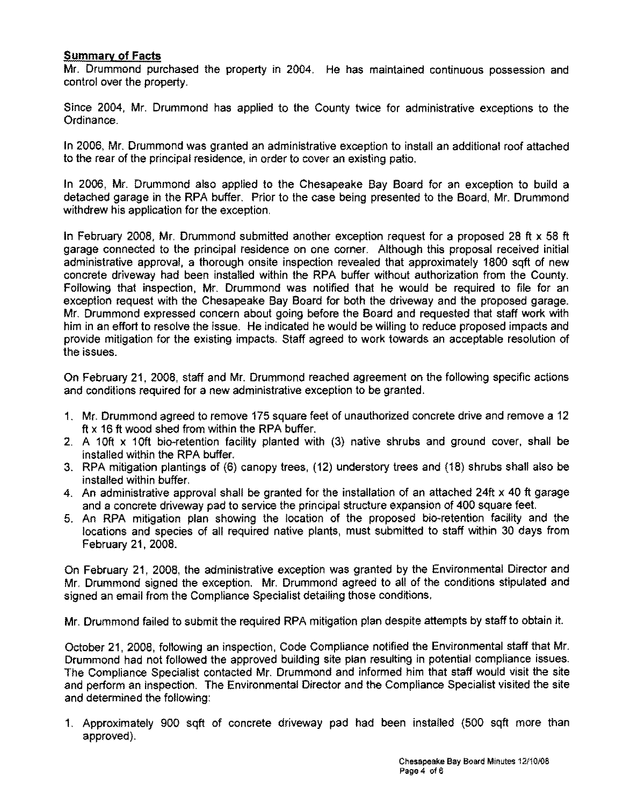### **Summary of Facts**

Mr. Drummond purchased the property in 2004. He has maintained continuous possession and control over the property.

Since 2004, Mr. Drummond has applied to the County twice for administrative exceptions to the Ordinance.

In 2006, Mr. Drummond was granted an administrative exception to install an additional roof attached to the rear of the principal residence, in order to cover an existing patio.

In 2006, Mr. Drummond also applied to the Chesapeake Bay Board for an exception to build a detached garage in the RPA buffer. Prior to the case being presented to the Board, Mr. Drummond withdrew his application for the exception.

In February 2008, Mr. Drummond submitted another exception request for a proposed 28 ft x 58 ft garage connected to the principal residence on one corner. Although this proposal received initial administrative approval, a thorough onsite inspection revealed that approximately 1800 sqft of new concrete driveway had been installed within the RPA buffer without authorization from the County. Following that inspection, Mr. Drummond was notified that he would be required to file for an exception request with the Chesapeake Bay Board for both the driveway and the proposed garage. Mr. Drummond expressed concern about going before the Board and requested that staff work with him in an effort to resolve the issue. He indicated he would be willing to reduce proposed impacts and provide mitigation for the existing impacts. Staff agreed to work towards an acceptable resolution of the issues.

On February 21, 2008, staff and Mr. Drummond reached agreement on the following specific actions and conditions required for a new administrative exception to be granted.

- 1. Mr. Drummond agreed to remove 175 square feet of unauthorized concrete drive and remove a 12 ft x 16 ft wood shed from within the RPA buffer.
- 2. A 10ft  $\times$  10ft bio-retention facility planted with (3) native shrubs and ground cover, shall be installed within the RPA buffer.
- 3. RPA mitigation plantings of (6) canopy trees, (12) understory trees and (18) shrubs shall also be installed within buffer.
- 4. An administrative approval shall be granted for the installation of an attached 24ft x 40 ft garage and a concrete driveway pad to service the principal structure expansion of 400 square feet.
- 5. An RPA mitigation plan showing the location of the proposed bio-retention facility and the locations and species of all required native plants, must submitted to staff within 30 days from February 21, 2008.

On February 21, 2008, the administrative exception was granted by the Environmental Director and Mr. Drummond signed the exception. Mr. Drummond agreed to all of the conditions stipulated and signed an email from the Compliance Specialist detailing those conditions.

Mr. Drummond failed to submit the required RPA mitigation plan despite attempts by staff to obtain it.

October 21, 2008, following an inspection, Code Compliance notified the Environmental staff that Mr. Drummond had not followed the approved building site plan resulting in potential compliance issues. The Compliance Specialist contacted Mr. Drummond and informed him that staff would visit the site and perform an inspection. The Environmental Director and the Compliance Specialist visited the site and determined the following:

1. Approximately 900 sqft of concrete driveway pad had been installed (500 sqft more than approved).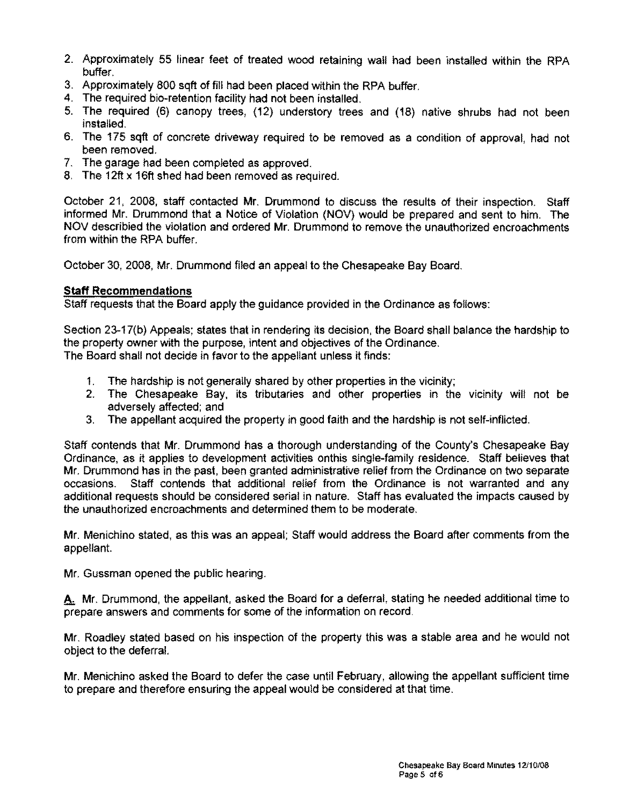- 2. Approximately 55 linear feet of treated wood retaining wall had been installed within the RPA buffer.
- 3. Approximately 800 sqft of fill had been placed within the RPA buffer.
- 4. The required bio-retention facility had not been installed.
- 5. The required (6) canopy trees, (12) understory trees and (18) native shrubs had not been installed.
- 6. The 175 sqft of concrete driveway required to be removed as a condition of approval, had not been removed.
- 7. The garage had been completed as approved.
- 8. The 12ft x 16ft shed had been removed as required.

October 21, 2008, staff contacted Mr. Drummond to discuss the results of their inspection. Staff informed Mr. Drummond that a Notice of Violation (NOV) would be prepared and sent to him. The NOV describied the violation and ordered Mr. Drummond to remove the unauthorized encroachments from within the RPA buffer.

October 30, 2008, Mr. Drummond filed an appeal to the Chesapeake Bay Board.

### **Staff Recommendations**

Staff requests that the Board apply the guidance provided in the Ordinance as follows:

Section 23-17(b) Appeals; states that in rendering its decision, the Board shall balance the hardship to the property owner with the purpose, intent and objectives of the Ordinance. The Board shall not decide in favor to the appellant unless it finds:

- 1. The hardship is not generally shared by other properties in the vicinity;
- 2. The Chesapeake Bay, its tributaries and other properties in the vicinity will not be adversely affected; and
- 3. The appellant acquired the property in good faith and the hardship is not self-inflicted.

Staff contends that Mr. Drummond has a thorough understanding of the County's Chesapeake Bay Ordinance, as it applies to development activities onthis single-family residence. Staff believes that Mr. Drummond has in the past, been granted administrative relief from the Ordinance on two separate occasions. Staff contends that additional relief from the Ordinance is not warranted and any additional requests should be considered serial in nature. Staff has evaluated the impacts caused by the unauthorized encroachments and determined them to be moderate.

Mr. Menichino stated, as this was an appeal; Staff would address the Board after comments from the appellant.

Mr. Gussman opened the public hearing.

A. Mr. Drummond, the appellant, asked the Board for a deferral, stating he needed additional time to prepare answers and comments for some of the information on record.

Mr. Roadley stated based on his inspection of the property this was a stable area and he would not object to the deferral.

Mr. Menichino asked the Board to defer the case until February, allowing the appellant sufficient time to prepare and therefore ensuring the appeal would be considered at that time.